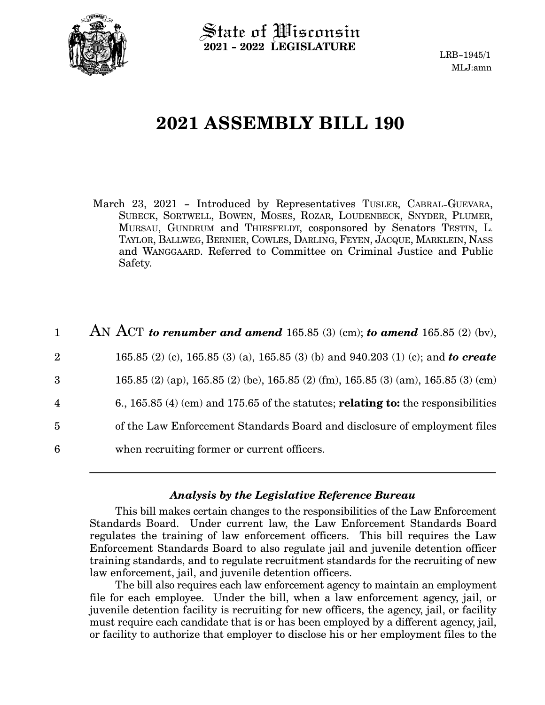

 $\operatorname{\mathsf{State}}$  of Wisconsin **2021 - 2022 LEGISLATURE**

# **2021 ASSEMBLY BILL 190**

- March 23, 2021 Introduced by Representatives TUSLER, CABRAL-GUEVARA, SUBECK, SORTWELL, BOWEN, MOSES, ROZAR, LOUDENBECK, SNYDER, PLUMER, MURSAU, GUNDRUM and THIESFELDT, cosponsored by Senators TESTIN, L. TAYLOR, BALLWEG, BERNIER, COWLES, DARLING, FEYEN, JACQUE, MARKLEIN, NASS and WANGGAARD. Referred to Committee on Criminal Justice and Public Safety.
- AN ACT *to renumber and amend* 165.85 (3) (cm); *to amend* 165.85 (2) (bv), 165.85 (2) (c), 165.85 (3) (a), 165.85 (3) (b) and 940.203 (1) (c); and *to create* 165.85 (2) (ap), 165.85 (2) (be), 165.85 (2) (fm), 165.85 (3) (am), 165.85 (3) (cm) 6., 165.85 (4) (em) and 175.65 of the statutes; **relating to:** the responsibilities of the Law Enforcement Standards Board and disclosure of employment files when recruiting former or current officers. 1 2 3 4 5 6

## *Analysis by the Legislative Reference Bureau*

This bill makes certain changes to the responsibilities of the Law Enforcement Standards Board. Under current law, the Law Enforcement Standards Board regulates the training of law enforcement officers. This bill requires the Law Enforcement Standards Board to also regulate jail and juvenile detention officer training standards, and to regulate recruitment standards for the recruiting of new law enforcement, jail, and juvenile detention officers.

The bill also requires each law enforcement agency to maintain an employment file for each employee. Under the bill, when a law enforcement agency, jail, or juvenile detention facility is recruiting for new officers, the agency, jail, or facility must require each candidate that is or has been employed by a different agency, jail, or facility to authorize that employer to disclose his or her employment files to the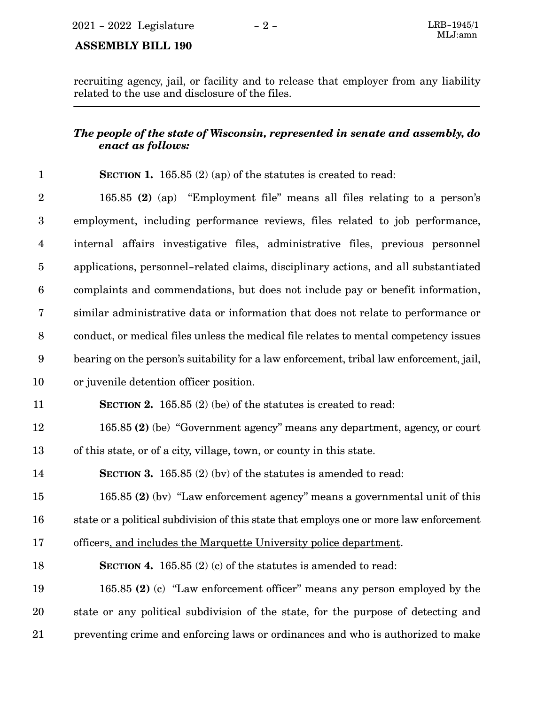### **ASSEMBLY BILL 190**

recruiting agency, jail, or facility and to release that employer from any liability related to the use and disclosure of the files.

## *The people of the state of Wisconsin, represented in senate and assembly, do enact as follows:*

#### **SECTION 1.** 165.85 (2) (ap) of the statutes is created to read: 1

165.85 **(2)** (ap) "Employment file" means all files relating to a person's employment, including performance reviews, files related to job performance, internal affairs investigative files, administrative files, previous personnel applications, personnel-related claims, disciplinary actions, and all substantiated complaints and commendations, but does not include pay or benefit information, similar administrative data or information that does not relate to performance or conduct, or medical files unless the medical file relates to mental competency issues bearing on the person's suitability for a law enforcement, tribal law enforcement, jail, or juvenile detention officer position. **SECTION 2.** 165.85 (2) (be) of the statutes is created to read: 165.85 **(2)** (be) "Government agency" means any department, agency, or court of this state, or of a city, village, town, or county in this state. **SECTION 3.** 165.85 (2) (bv) of the statutes is amended to read: 2 3 4 5 6 7 8 9 10 11 12 13 14

165.85 **(2)** (bv) "Law enforcement agency" means a governmental unit of this state or a political subdivision of this state that employs one or more law enforcement 15 16

officers, and includes the Marquette University police department. 17

#### **SECTION 4.** 165.85 (2) (c) of the statutes is amended to read: 18

165.85 **(2)** (c) "Law enforcement officer" means any person employed by the state or any political subdivision of the state, for the purpose of detecting and preventing crime and enforcing laws or ordinances and who is authorized to make 19 20 21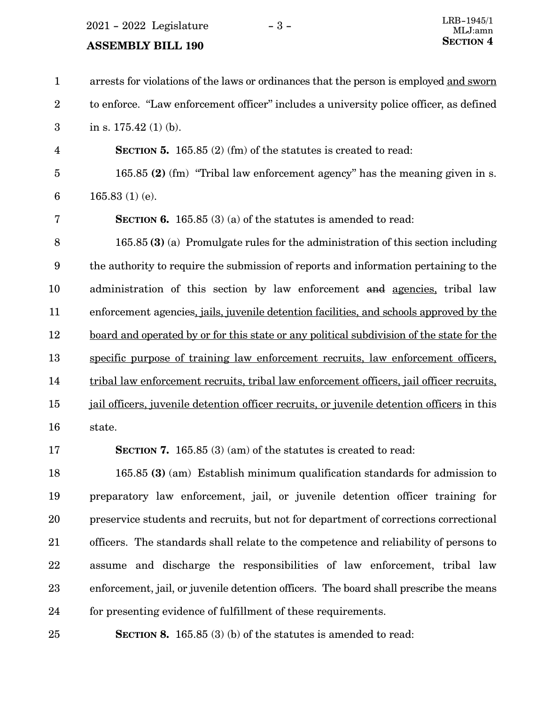$2021 - 2022$  Legislature  $-3 -$ 

## **SECTION** 4 **SECTION** 4

arrests for violations of the laws or ordinances that the person is employed and sworn to enforce. "Law enforcement officer" includes a university police officer, as defined in s. 175.42 (1) (b). **SECTION 5.** 165.85 (2) (fm) of the statutes is created to read: 165.85 **(2)** (fm) "Tribal law enforcement agency" has the meaning given in s. 165.83 (1) (e). **SECTION 6.** 165.85 (3) (a) of the statutes is amended to read: 165.85 **(3)** (a) Promulgate rules for the administration of this section including the authority to require the submission of reports and information pertaining to the administration of this section by law enforcement and agencies, tribal law enforcement agencies, jails, juvenile detention facilities, and schools approved by the board and operated by or for this state or any political subdivision of the state for the specific purpose of training law enforcement recruits, law enforcement officers, tribal law enforcement recruits, tribal law enforcement officers, jail officer recruits, jail officers, juvenile detention officer recruits, or juvenile detention officers in this state. **SECTION 7.** 165.85 (3) (am) of the statutes is created to read: 165.85 **(3)** (am) Establish minimum qualification standards for admission to 1 2 3 4 5 6 7 8 9 10 11 12 13 14 15 16 17 18

preparatory law enforcement, jail, or juvenile detention officer training for preservice students and recruits, but not for department of corrections correctional officers. The standards shall relate to the competence and reliability of persons to assume and discharge the responsibilities of law enforcement, tribal law enforcement, jail, or juvenile detention officers. The board shall prescribe the means for presenting evidence of fulfillment of these requirements. 19 20 21 22 23 24

25

**SECTION 8.** 165.85 (3) (b) of the statutes is amended to read: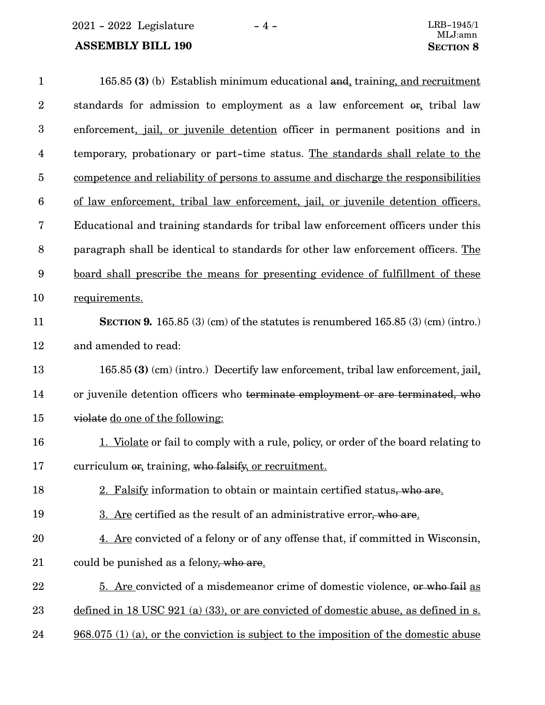2021 - 2022 Legislature - 4 -

## **ASSEMBLY BILL 190**

| $\mathbf{1}$     | 165.85 (3) (b) Establish minimum educational and, training, and recruitment                   |
|------------------|-----------------------------------------------------------------------------------------------|
| $\boldsymbol{2}$ | standards for admission to employment as a law enforcement or, tribal law                     |
| $\boldsymbol{3}$ | enforcement, <i>jail</i> , or <i>juvenile</i> detention officer in permanent positions and in |
| $\overline{4}$   | temporary, probationary or part-time status. The standards shall relate to the                |
| $\bf 5$          | competence and reliability of persons to assume and discharge the responsibilities            |
| $6\phantom{.}6$  | of law enforcement, tribal law enforcement, jail, or juvenile detention officers.             |
| 7                | Educational and training standards for tribal law enforcement officers under this             |
| $8\phantom{1}$   | paragraph shall be identical to standards for other law enforcement officers. The             |
| 9                | <u>board shall prescribe the means for presenting evidence of fulfillment of these</u>        |
| 10               | requirements.                                                                                 |
| 11               | SECTION 9. 165.85 $(3)$ (cm) of the statutes is renumbered 165.85 $(3)$ (cm) (intro.)         |
| 12               | and amended to read:                                                                          |
| 13               | 165.85 (3) (cm) (intro.) Decertify law enforcement, tribal law enforcement, jail,             |
| 14               | or juvenile detention officers who terminate employment or are terminated, who                |
| 15               | violate do one of the following:                                                              |
| 16               | 1. Violate or fail to comply with a rule, policy, or order of the board relating to           |
| 17               | curriculum or, training, who falsify, or recruitment.                                         |
| 18               | 2. Falsify information to obtain or maintain certified status, who are.                       |
| 19               | 3. Are certified as the result of an administrative error, who are.                           |
| 20               | 4. Are convicted of a felony or of any offense that, if committed in Wisconsin,               |
| 21               | could be punished as a felony, who are.                                                       |
| 22               | 5. Are convicted of a misdemeanor crime of domestic violence, or who fail as                  |
| 23               | defined in 18 USC 921 (a) (33), or are convicted of domestic abuse, as defined in s.          |
| 24               | $968.075$ (1) (a), or the conviction is subject to the imposition of the domestic abuse       |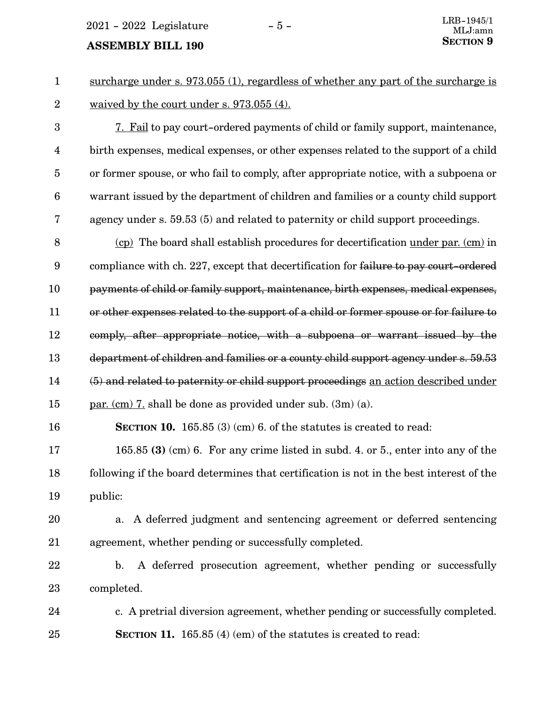## **SECTION** 9 **SECTION**

surcharge under s. 973.055 (1), regardless of whether any part of the surcharge is waived by the court under s. 973.055 (4). 1 2

7. Fail to pay court-ordered payments of child or family support, maintenance, birth expenses, medical expenses, or other expenses related to the support of a child or former spouse, or who fail to comply, after appropriate notice, with a subpoena or warrant issued by the department of children and families or a county child support agency under s. 59.53 (5) and related to paternity or child support proceedings. 3 4 5 6 7

(cp) The board shall establish procedures for decertification under par. (cm) in compliance with ch. 227, except that decertification for failure to pay court-ordered payments of child or family support, maintenance, birth expenses, medical expenses, or other expenses related to the support of a child or former spouse or for failure to comply, after appropriate notice, with a subpoena or warrant issued by the department of children and families or a county child support agency under s. 59.53 (5) and related to paternity or child support proceedings an action described under par. (cm) 7. shall be done as provided under sub. (3m) (a). 8 9 10 11 12 13 14 15

**SECTION 10.** 165.85 (3) (cm) 6. of the statutes is created to read: 16

165.85 **(3)** (cm) 6. For any crime listed in subd. 4. or 5., enter into any of the following if the board determines that certification is not in the best interest of the public: 17 18 19

- a. A deferred judgment and sentencing agreement or deferred sentencing agreement, whether pending or successfully completed. 20 21
- b. A deferred prosecution agreement, whether pending or successfully completed. 22 23

c. A pretrial diversion agreement, whether pending or successfully completed. **SECTION 11.** 165.85 (4) (em) of the statutes is created to read: 24 25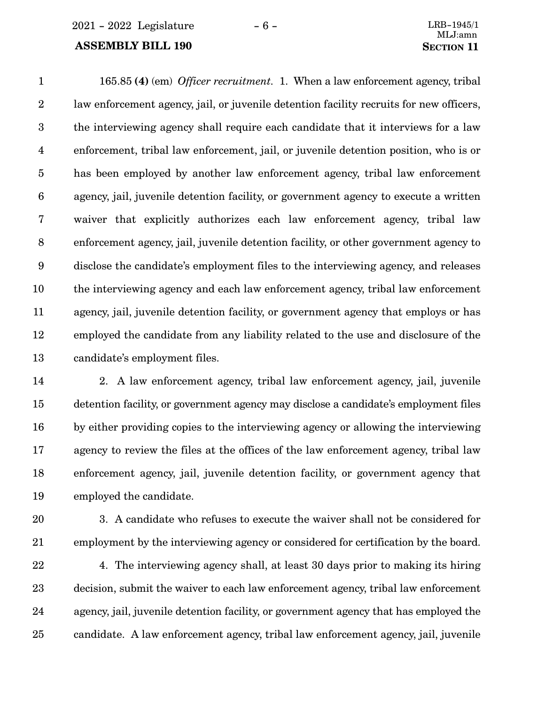### **ASSEMBLY BILL 190 SECTION** 11

165.85 **(4)** (em) *Officer recruitment.* 1. When a law enforcement agency, tribal law enforcement agency, jail, or juvenile detention facility recruits for new officers, the interviewing agency shall require each candidate that it interviews for a law enforcement, tribal law enforcement, jail, or juvenile detention position, who is or has been employed by another law enforcement agency, tribal law enforcement agency, jail, juvenile detention facility, or government agency to execute a written waiver that explicitly authorizes each law enforcement agency, tribal law enforcement agency, jail, juvenile detention facility, or other government agency to disclose the candidate's employment files to the interviewing agency, and releases the interviewing agency and each law enforcement agency, tribal law enforcement agency, jail, juvenile detention facility, or government agency that employs or has employed the candidate from any liability related to the use and disclosure of the candidate's employment files. 1 2 3 4 5 6 7 8 9 10 11 12 13

2. A law enforcement agency, tribal law enforcement agency, jail, juvenile detention facility, or government agency may disclose a candidate's employment files by either providing copies to the interviewing agency or allowing the interviewing agency to review the files at the offices of the law enforcement agency, tribal law enforcement agency, jail, juvenile detention facility, or government agency that employed the candidate. 14 15 16 17 18 19

- 20
- 21

3. A candidate who refuses to execute the waiver shall not be considered for employment by the interviewing agency or considered for certification by the board.

4. The interviewing agency shall, at least 30 days prior to making its hiring decision, submit the waiver to each law enforcement agency, tribal law enforcement agency, jail, juvenile detention facility, or government agency that has employed the candidate. A law enforcement agency, tribal law enforcement agency, jail, juvenile 22 23 24 25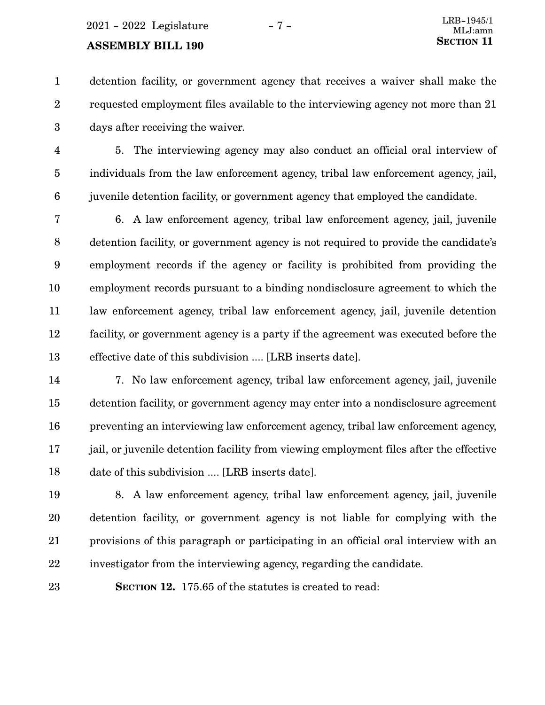## **ASSEMBLY BILL 190**

detention facility, or government agency that receives a waiver shall make the requested employment files available to the interviewing agency not more than 21 days after receiving the waiver. 1 2 3

5. The interviewing agency may also conduct an official oral interview of individuals from the law enforcement agency, tribal law enforcement agency, jail, juvenile detention facility, or government agency that employed the candidate. 4 5 6

6. A law enforcement agency, tribal law enforcement agency, jail, juvenile detention facility, or government agency is not required to provide the candidate's employment records if the agency or facility is prohibited from providing the employment records pursuant to a binding nondisclosure agreement to which the law enforcement agency, tribal law enforcement agency, jail, juvenile detention facility, or government agency is a party if the agreement was executed before the effective date of this subdivision .... [LRB inserts date]. 7 8 9 10 11 12 13

7. No law enforcement agency, tribal law enforcement agency, jail, juvenile detention facility, or government agency may enter into a nondisclosure agreement preventing an interviewing law enforcement agency, tribal law enforcement agency, jail, or juvenile detention facility from viewing employment files after the effective date of this subdivision .... [LRB inserts date]. 14 15 16 17 18

8. A law enforcement agency, tribal law enforcement agency, jail, juvenile detention facility, or government agency is not liable for complying with the provisions of this paragraph or participating in an official oral interview with an investigator from the interviewing agency, regarding the candidate. 19 20 21 22

23

**SECTION 12.** 175.65 of the statutes is created to read: